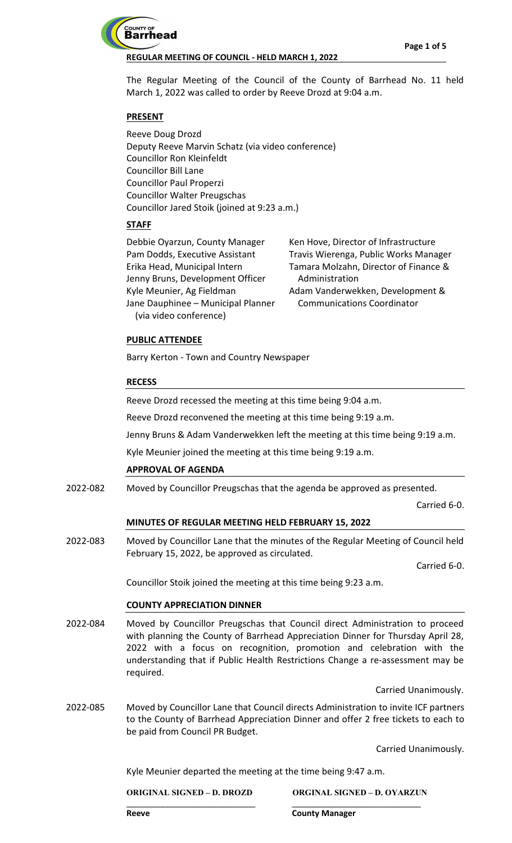

The Regular Meeting of the Council of the County of Barrhead No. 11 held March 1, 2022 was called to order by Reeve Drozd at 9:04 a.m.

# **PRESENT**

Reeve Doug Drozd Deputy Reeve Marvin Schatz (via video conference) Councillor Ron Kleinfeldt Councillor Bill Lane Councillor Paul Properzi Councillor Walter Preugschas Councillor Jared Stoik (joined at 9:23 a.m.)

# **STAFF**

| Debbie Oyarzun, County Manager     | Ken Hove, D         |
|------------------------------------|---------------------|
| Pam Dodds, Executive Assistant     | <b>Travis Wiere</b> |
| Erika Head, Municipal Intern       | Tamara Mol          |
| Jenny Bruns, Development Officer   | Administr           |
| Kyle Meunier, Ag Fieldman          | Adam Vand           |
| Jane Dauphinee - Municipal Planner | Communi             |
| (via video conference)             |                     |

lirector of Infrastructure enga, Public Works Manager Izahn, Director of Finance & ation erwekken, Development &

cations Coordinator

## **PUBLIC ATTENDEE**

Barry Kerton - Town and Country Newspaper

## **RECESS**

Reeve Drozd recessed the meeting at this time being 9:04 a.m.

Reeve Drozd reconvened the meeting at this time being 9:19 a.m.

Jenny Bruns & Adam Vanderwekken left the meeting at this time being 9:19 a.m.

Kyle Meunier joined the meeting at this time being 9:19 a.m.

## **APPROVAL OF AGENDA**

Moved by Councillor Preugschas that the agenda be approved as presented. 2022-082

Carried 6-0.

## **MINUTES OF REGULAR MEETING HELD FEBRUARY 15, 2022**

Moved by Councillor Lane that the minutes of the Regular Meeting of Council held February 15, 2022, be approved as circulated. 2022-083

Carried 6-0.

Councillor Stoik joined the meeting at this time being 9:23 a.m.

## **COUNTY APPRECIATION DINNER**

Moved by Councillor Preugschas that Council direct Administration to proceed with planning the County of Barrhead Appreciation Dinner for Thursday April 28, 2022 with a focus on recognition, promotion and celebration with the understanding that if Public Health Restrictions Change a re-assessment may be required. 2022-084

Carried Unanimously.

Moved by Councillor Lane that Council directs Administration to invite ICF partners to the County of Barrhead Appreciation Dinner and offer 2 free tickets to each to be paid from Council PR Budget. 2022-085

Carried Unanimously.

Kyle Meunier departed the meeting at the time being 9:47 a.m.

**\_\_\_\_\_\_\_\_\_\_\_\_\_\_\_\_\_\_\_\_\_\_\_\_\_\_\_\_ \_\_\_\_\_\_\_\_\_\_\_\_\_\_\_\_\_\_\_\_\_\_\_\_\_\_\_\_**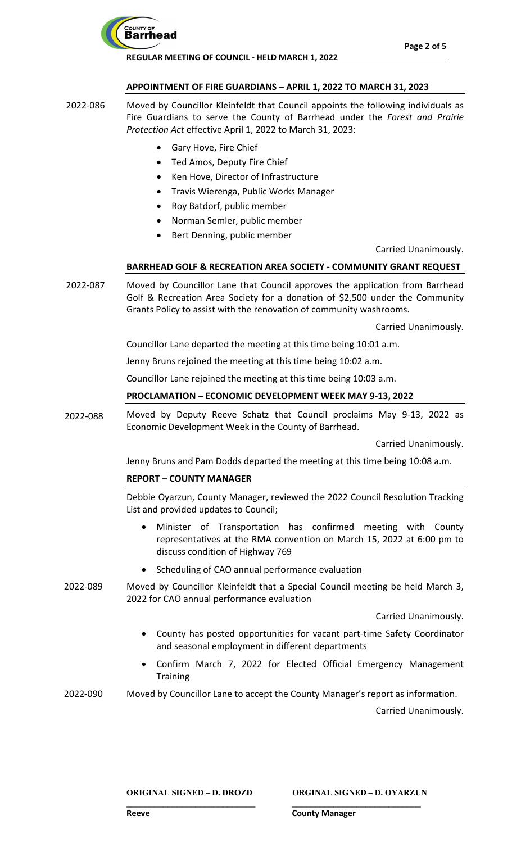

### **APPOINTMENT OF FIRE GUARDIANS – APRIL 1, 2022 TO MARCH 31, 2023**

- Moved by Councillor Kleinfeldt that Council appoints the following individuals as Fire Guardians to serve the County of Barrhead under the *Forest and Prairie Protection Act* effective April 1, 2022 to March 31, 2023: 2022-086
	- Gary Hove, Fire Chief
	- Ted Amos, Deputy Fire Chief
	- Ken Hove, Director of Infrastructure
	- Travis Wierenga, Public Works Manager
	- Roy Batdorf, public member
	- Norman Semler, public member
	- Bert Denning, public member

Carried Unanimously.

### **BARRHEAD GOLF & RECREATION AREA SOCIETY - COMMUNITY GRANT REQUEST**

Moved by Councillor Lane that Council approves the application from Barrhead Golf & Recreation Area Society for a donation of \$2,500 under the Community Grants Policy to assist with the renovation of community washrooms. 2022-087

Carried Unanimously.

Councillor Lane departed the meeting at this time being 10:01 a.m.

Jenny Bruns rejoined the meeting at this time being 10:02 a.m.

Councillor Lane rejoined the meeting at this time being 10:03 a.m.

### **PROCLAMATION – ECONOMIC DEVELOPMENT WEEK MAY 9-13, 2022**

Moved by Deputy Reeve Schatz that Council proclaims May 9-13, 2022 as Economic Development Week in the County of Barrhead. 2022-088

Carried Unanimously.

Jenny Bruns and Pam Dodds departed the meeting at this time being 10:08 a.m.

## **REPORT – COUNTY MANAGER**

Debbie Oyarzun, County Manager, reviewed the 2022 Council Resolution Tracking List and provided updates to Council;

- Minister of Transportation has confirmed meeting with County representatives at the RMA convention on March 15, 2022 at 6:00 pm to discuss condition of Highway 769
- Scheduling of CAO annual performance evaluation
- Moved by Councillor Kleinfeldt that a Special Council meeting be held March 3, 2022 for CAO annual performance evaluation 2022-089

Carried Unanimously.

- County has posted opportunities for vacant part-time Safety Coordinator and seasonal employment in different departments
- Confirm March 7, 2022 for Elected Official Emergency Management **Training**

Moved by Councillor Lane to accept the County Manager's report as information. 2022-090

**\_\_\_\_\_\_\_\_\_\_\_\_\_\_\_\_\_\_\_\_\_\_\_\_\_\_\_\_ \_\_\_\_\_\_\_\_\_\_\_\_\_\_\_\_\_\_\_\_\_\_\_\_\_\_\_\_** 

Carried Unanimously.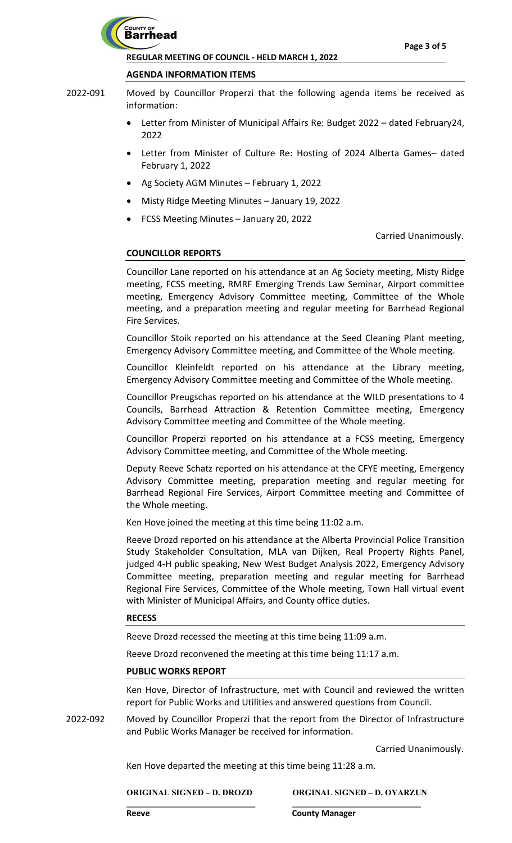

#### **AGENDA INFORMATION ITEMS**

- Moved by Councillor Properzi that the following agenda items be received as information: 2022-091
	- Letter from Minister of Municipal Affairs Re: Budget 2022 dated February24, 2022
	- Letter from Minister of Culture Re: Hosting of 2024 Alberta Games- dated February 1, 2022
	- Ag Society AGM Minutes February 1, 2022
	- Misty Ridge Meeting Minutes January 19, 2022
	- FCSS Meeting Minutes January 20, 2022

Carried Unanimously.

### **COUNCILLOR REPORTS**

Councillor Lane reported on his attendance at an Ag Society meeting, Misty Ridge meeting, FCSS meeting, RMRF Emerging Trends Law Seminar, Airport committee meeting, Emergency Advisory Committee meeting, Committee of the Whole meeting, and a preparation meeting and regular meeting for Barrhead Regional Fire Services.

Councillor Stoik reported on his attendance at the Seed Cleaning Plant meeting, Emergency Advisory Committee meeting, and Committee of the Whole meeting.

Councillor Kleinfeldt reported on his attendance at the Library meeting, Emergency Advisory Committee meeting and Committee of the Whole meeting.

Councillor Preugschas reported on his attendance at the WILD presentations to 4 Councils, Barrhead Attraction & Retention Committee meeting, Emergency Advisory Committee meeting and Committee of the Whole meeting.

Councillor Properzi reported on his attendance at a FCSS meeting, Emergency Advisory Committee meeting, and Committee of the Whole meeting.

Deputy Reeve Schatz reported on his attendance at the CFYE meeting, Emergency Advisory Committee meeting, preparation meeting and regular meeting for Barrhead Regional Fire Services, Airport Committee meeting and Committee of the Whole meeting.

Ken Hove joined the meeting at this time being 11:02 a.m.

Reeve Drozd reported on his attendance at the Alberta Provincial Police Transition Study Stakeholder Consultation, MLA van Dijken, Real Property Rights Panel, judged 4-H public speaking, New West Budget Analysis 2022, Emergency Advisory Committee meeting, preparation meeting and regular meeting for Barrhead Regional Fire Services, Committee of the Whole meeting, Town Hall virtual event with Minister of Municipal Affairs, and County office duties.

#### **RECESS**

Reeve Drozd recessed the meeting at this time being 11:09 a.m.

Reeve Drozd reconvened the meeting at this time being 11:17 a.m.

#### **PUBLIC WORKS REPORT**

Ken Hove, Director of Infrastructure, met with Council and reviewed the written report for Public Works and Utilities and answered questions from Council.

Moved by Councillor Properzi that the report from the Director of Infrastructure and Public Works Manager be received for information. 2022-092

**\_\_\_\_\_\_\_\_\_\_\_\_\_\_\_\_\_\_\_\_\_\_\_\_\_\_\_\_ \_\_\_\_\_\_\_\_\_\_\_\_\_\_\_\_\_\_\_\_\_\_\_\_\_\_\_\_** 

Carried Unanimously.

Ken Hove departed the meeting at this time being 11:28 a.m.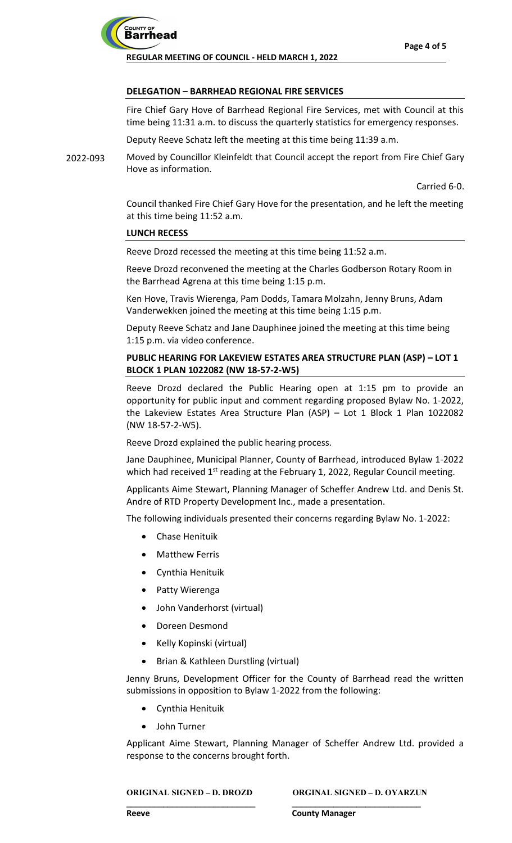

### **DELEGATION – BARRHEAD REGIONAL FIRE SERVICES**

Fire Chief Gary Hove of Barrhead Regional Fire Services, met with Council at this time being 11:31 a.m. to discuss the quarterly statistics for emergency responses.

Deputy Reeve Schatz left the meeting at this time being 11:39 a.m.

Moved by Councillor Kleinfeldt that Council accept the report from Fire Chief Gary Hove as information. 2022-093

Carried 6-0.

Council thanked Fire Chief Gary Hove for the presentation, and he left the meeting at this time being 11:52 a.m.

#### **LUNCH RECESS**

Reeve Drozd recessed the meeting at this time being 11:52 a.m.

Reeve Drozd reconvened the meeting at the Charles Godberson Rotary Room in the Barrhead Agrena at this time being 1:15 p.m.

Ken Hove, Travis Wierenga, Pam Dodds, Tamara Molzahn, Jenny Bruns, Adam Vanderwekken joined the meeting at this time being 1:15 p.m.

Deputy Reeve Schatz and Jane Dauphinee joined the meeting at this time being 1:15 p.m. via video conference.

# **PUBLIC HEARING FOR LAKEVIEW ESTATES AREA STRUCTURE PLAN (ASP) – LOT 1 BLOCK 1 PLAN 1022082 (NW 18-57-2-W5)**

Reeve Drozd declared the Public Hearing open at 1:15 pm to provide an opportunity for public input and comment regarding proposed Bylaw No. 1-2022, the Lakeview Estates Area Structure Plan (ASP) – Lot 1 Block 1 Plan 1022082 (NW 18-57-2-W5).

Reeve Drozd explained the public hearing process.

Jane Dauphinee, Municipal Planner, County of Barrhead, introduced Bylaw 1-2022 which had received  $1<sup>st</sup>$  reading at the February 1, 2022, Regular Council meeting.

Applicants Aime Stewart, Planning Manager of Scheffer Andrew Ltd. and Denis St. Andre of RTD Property Development Inc., made a presentation.

The following individuals presented their concerns regarding Bylaw No. 1-2022:

- Chase Henituik
- **Matthew Ferris**
- Cynthia Henituik
- Patty Wierenga
- John Vanderhorst (virtual)
- Doreen Desmond
- Kelly Kopinski (virtual)
- Brian & Kathleen Durstling (virtual)

Jenny Bruns, Development Officer for the County of Barrhead read the written submissions in opposition to Bylaw 1-2022 from the following:

- Cynthia Henituik
- John Turner

Applicant Aime Stewart, Planning Manager of Scheffer Andrew Ltd. provided a response to the concerns brought forth.

**\_\_\_\_\_\_\_\_\_\_\_\_\_\_\_\_\_\_\_\_\_\_\_\_\_\_\_\_ \_\_\_\_\_\_\_\_\_\_\_\_\_\_\_\_\_\_\_\_\_\_\_\_\_\_\_\_**